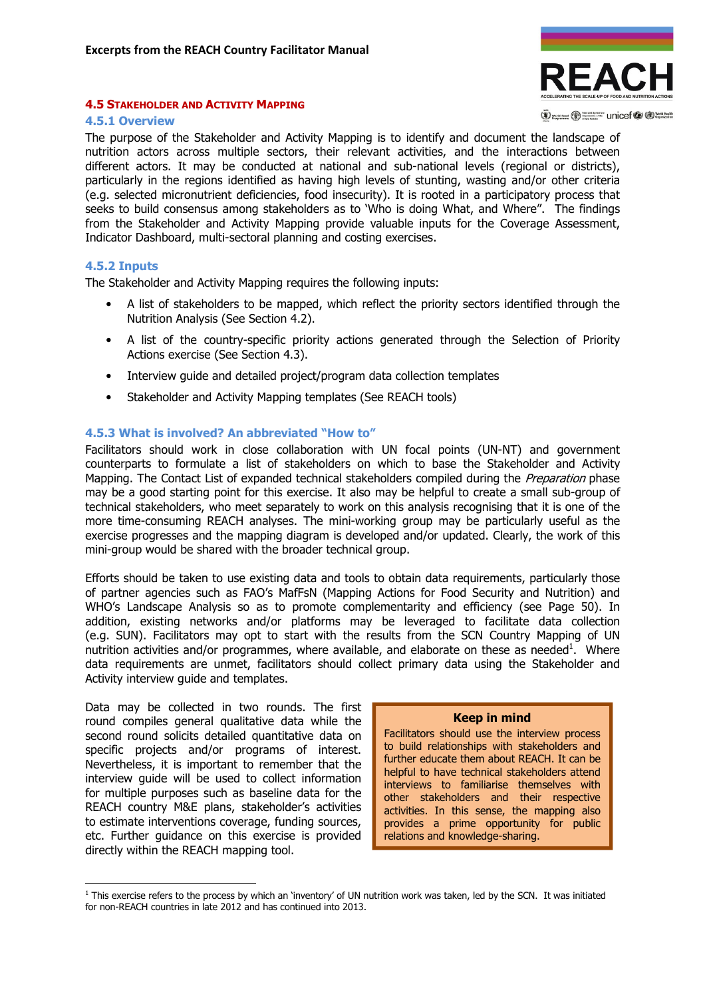

#### (V) words root (V) Supported The Unicef (V (D) World Health

## 4.5 STAKEHOLDER AND ACTIVITY MAPPING

#### 4.5.1 Overview

The purpose of the Stakeholder and Activity Mapping is to identify and document the landscape of nutrition actors across multiple sectors, their relevant activities, and the interactions between different actors. It may be conducted at national and sub-national levels (regional or districts), particularly in the regions identified as having high levels of stunting, wasting and/or other criteria (e.g. selected micronutrient deficiencies, food insecurity). It is rooted in a participatory process that seeks to build consensus among stakeholders as to 'Who is doing What, and Where". The findings from the Stakeholder and Activity Mapping provide valuable inputs for the Coverage Assessment, Indicator Dashboard, multi-sectoral planning and costing exercises.

## 4.5.2 Inputs

l

The Stakeholder and Activity Mapping requires the following inputs:

- A list of stakeholders to be mapped, which reflect the priority sectors identified through the Nutrition Analysis (See Section 4.2).
- A list of the country-specific priority actions generated through the Selection of Priority Actions exercise (See Section 4.3).
- Interview quide and detailed project/program data collection templates
- Stakeholder and Activity Mapping templates (See REACH tools)

# 4.5.3 What is involved? An abbreviated "How to"

Facilitators should work in close collaboration with UN focal points (UN-NT) and government counterparts to formulate a list of stakeholders on which to base the Stakeholder and Activity Mapping. The Contact List of expanded technical stakeholders compiled during the *Preparation* phase may be a good starting point for this exercise. It also may be helpful to create a small sub-group of technical stakeholders, who meet separately to work on this analysis recognising that it is one of the more time-consuming REACH analyses. The mini-working group may be particularly useful as the exercise progresses and the mapping diagram is developed and/or updated. Clearly, the work of this mini-group would be shared with the broader technical group.

Efforts should be taken to use existing data and tools to obtain data requirements, particularly those of partner agencies such as FAO's MafFsN (Mapping Actions for Food Security and Nutrition) and WHO's Landscape Analysis so as to promote complementarity and efficiency (see Page 50). In addition, existing networks and/or platforms may be leveraged to facilitate data collection (e.g. SUN). Facilitators may opt to start with the results from the SCN Country Mapping of UN nutrition activities and/or programmes, where available, and elaborate on these as needed<sup>1</sup>. Where data requirements are unmet, facilitators should collect primary data using the Stakeholder and Activity interview guide and templates.

Data may be collected in two rounds. The first round compiles general qualitative data while the second round solicits detailed quantitative data on specific projects and/or programs of interest. Nevertheless, it is important to remember that the interview guide will be used to collect information for multiple purposes such as baseline data for the REACH country M&E plans, stakeholder's activities to estimate interventions coverage, funding sources, etc. Further guidance on this exercise is provided directly within the REACH mapping tool.

#### Keep in mind

Facilitators should use the interview process to build relationships with stakeholders and further educate them about REACH. It can be helpful to have technical stakeholders attend interviews to familiarise themselves with other stakeholders and their respective activities. In this sense, the mapping also provides a prime opportunity for public relations and knowledge-sharing.

<sup>&</sup>lt;sup>1</sup> This exercise refers to the process by which an 'inventory' of UN nutrition work was taken, led by the SCN. It was initiated for non-REACH countries in late 2012 and has continued into 2013.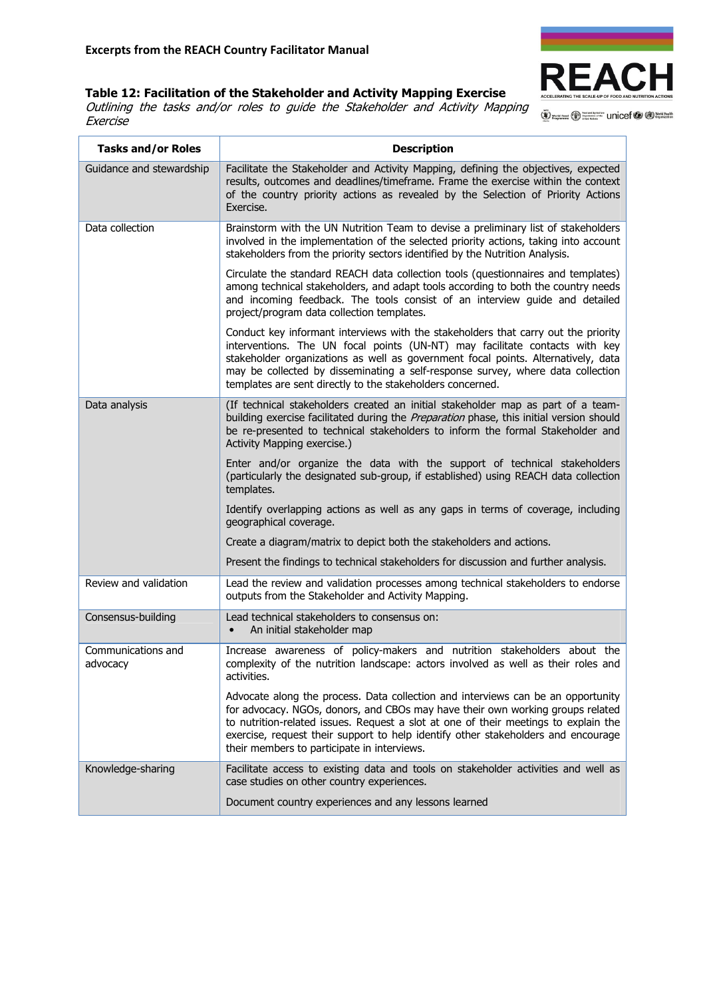# Table 12: Facilitation of the Stakeholder and Activity Mapping Exercise

Outlining the tasks and/or roles to guide the Stakeholder and Activity Mapping **Exercise** 

W World Food Construction Unicef C Companization

**REACI** 

| <b>Tasks and/or Roles</b>      | <b>Description</b>                                                                                                                                                                                                                                                                                                                                                                                      |
|--------------------------------|---------------------------------------------------------------------------------------------------------------------------------------------------------------------------------------------------------------------------------------------------------------------------------------------------------------------------------------------------------------------------------------------------------|
| Guidance and stewardship       | Facilitate the Stakeholder and Activity Mapping, defining the objectives, expected<br>results, outcomes and deadlines/timeframe. Frame the exercise within the context<br>of the country priority actions as revealed by the Selection of Priority Actions<br>Exercise.                                                                                                                                 |
| Data collection                | Brainstorm with the UN Nutrition Team to devise a preliminary list of stakeholders<br>involved in the implementation of the selected priority actions, taking into account<br>stakeholders from the priority sectors identified by the Nutrition Analysis.                                                                                                                                              |
|                                | Circulate the standard REACH data collection tools (questionnaires and templates)<br>among technical stakeholders, and adapt tools according to both the country needs<br>and incoming feedback. The tools consist of an interview guide and detailed<br>project/program data collection templates.                                                                                                     |
|                                | Conduct key informant interviews with the stakeholders that carry out the priority<br>interventions. The UN focal points (UN-NT) may facilitate contacts with key<br>stakeholder organizations as well as government focal points. Alternatively, data<br>may be collected by disseminating a self-response survey, where data collection<br>templates are sent directly to the stakeholders concerned. |
| Data analysis                  | (If technical stakeholders created an initial stakeholder map as part of a team-<br>building exercise facilitated during the Preparation phase, this initial version should<br>be re-presented to technical stakeholders to inform the formal Stakeholder and<br>Activity Mapping exercise.)                                                                                                            |
|                                | Enter and/or organize the data with the support of technical stakeholders<br>(particularly the designated sub-group, if established) using REACH data collection<br>templates.                                                                                                                                                                                                                          |
|                                | Identify overlapping actions as well as any gaps in terms of coverage, including<br>geographical coverage.                                                                                                                                                                                                                                                                                              |
|                                | Create a diagram/matrix to depict both the stakeholders and actions.                                                                                                                                                                                                                                                                                                                                    |
|                                | Present the findings to technical stakeholders for discussion and further analysis.                                                                                                                                                                                                                                                                                                                     |
| Review and validation          | Lead the review and validation processes among technical stakeholders to endorse<br>outputs from the Stakeholder and Activity Mapping.                                                                                                                                                                                                                                                                  |
| Consensus-building             | Lead technical stakeholders to consensus on:<br>An initial stakeholder map                                                                                                                                                                                                                                                                                                                              |
| Communications and<br>advocacy | Increase awareness of policy-makers and nutrition stakeholders about the<br>complexity of the nutrition landscape: actors involved as well as their roles and<br>activities.                                                                                                                                                                                                                            |
|                                | Advocate along the process. Data collection and interviews can be an opportunity<br>for advocacy. NGOs, donors, and CBOs may have their own working groups related<br>to nutrition-related issues. Request a slot at one of their meetings to explain the<br>exercise, request their support to help identify other stakeholders and encourage<br>their members to participate in interviews.           |
| Knowledge-sharing              | Facilitate access to existing data and tools on stakeholder activities and well as<br>case studies on other country experiences.                                                                                                                                                                                                                                                                        |
|                                | Document country experiences and any lessons learned                                                                                                                                                                                                                                                                                                                                                    |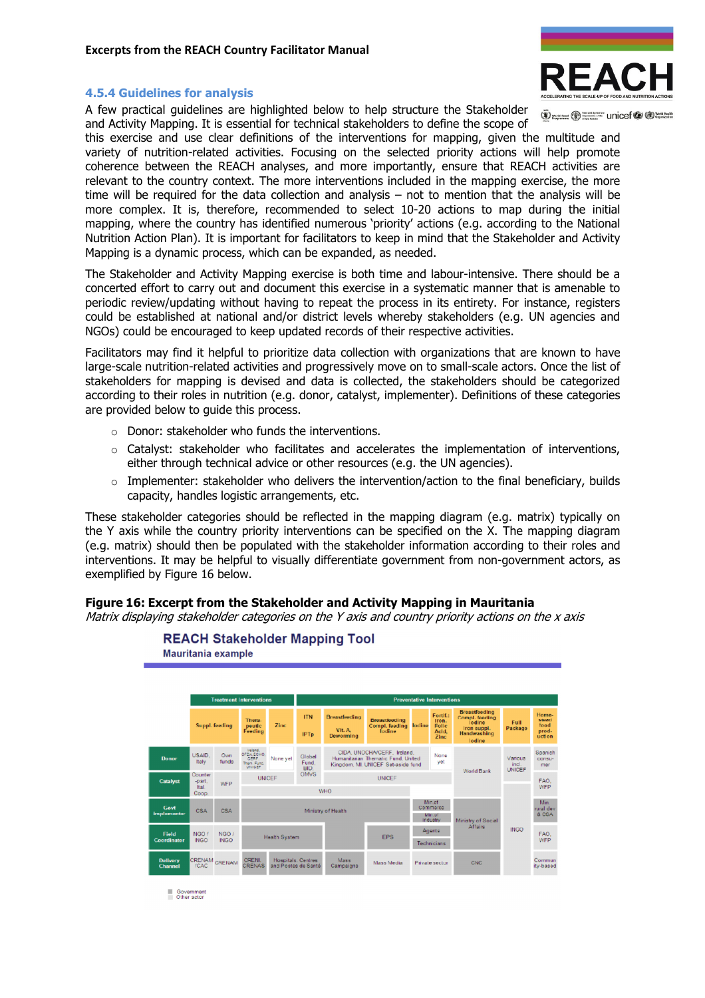## 4.5.4 Guidelines for analysis

A few practical guidelines are highlighted below to help structure the Stakeholder and Activity Mapping. It is essential for technical stakeholders to define the scope of



(V) works root (V) Significant Unicef (V (D) North Health

this exercise and use clear definitions of the interventions for mapping, given the multitude and variety of nutrition-related activities. Focusing on the selected priority actions will help promote coherence between the REACH analyses, and more importantly, ensure that REACH activities are relevant to the country context. The more interventions included in the mapping exercise, the more time will be required for the data collection and analysis – not to mention that the analysis will be more complex. It is, therefore, recommended to select 10-20 actions to map during the initial mapping, where the country has identified numerous 'priority' actions (e.g. according to the National Nutrition Action Plan). It is important for facilitators to keep in mind that the Stakeholder and Activity Mapping is a dynamic process, which can be expanded, as needed.

The Stakeholder and Activity Mapping exercise is both time and labour-intensive. There should be a concerted effort to carry out and document this exercise in a systematic manner that is amenable to periodic review/updating without having to repeat the process in its entirety. For instance, registers could be established at national and/or district levels whereby stakeholders (e.g. UN agencies and NGOs) could be encouraged to keep updated records of their respective activities.

Facilitators may find it helpful to prioritize data collection with organizations that are known to have large-scale nutrition-related activities and progressively move on to small-scale actors. Once the list of stakeholders for mapping is devised and data is collected, the stakeholders should be categorized according to their roles in nutrition (e.g. donor, catalyst, implementer). Definitions of these categories are provided below to guide this process.

- o Donor: stakeholder who funds the interventions.
- $\circ$  Catalyst: stakeholder who facilitates and accelerates the implementation of interventions, either through technical advice or other resources (e.g. the UN agencies).
- $\circ$  Implementer: stakeholder who delivers the intervention/action to the final beneficiary, builds capacity, handles logistic arrangements, etc.

These stakeholder categories should be reflected in the mapping diagram (e.g. matrix) typically on the Y axis while the country priority interventions can be specified on the X. The mapping diagram (e.g. matrix) should then be populated with the stakeholder information according to their roles and interventions. It may be helpful to visually differentiate government from non-government actors, as exemplified by Figure 16 below.

# Figure 16: Excerpt from the Stakeholder and Activity Mapping in Mauritania

Matrix displaying stakeholder categories on the Y axis and country priority actions on the x axis